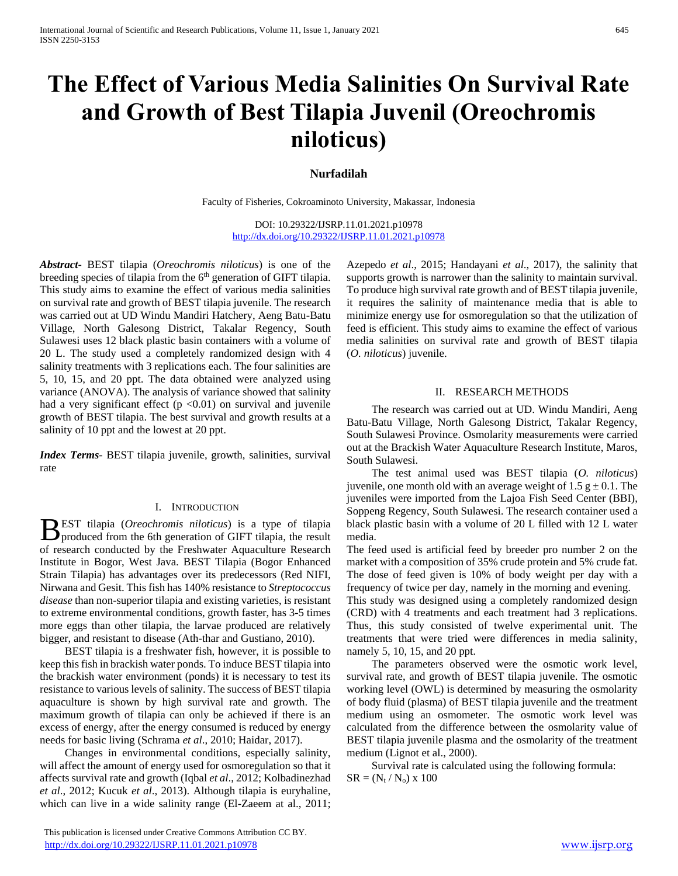# **The Effect of Various Media Salinities On Survival Rate and Growth of Best Tilapia Juvenil (Oreochromis niloticus)**

# **Nurfadilah**

Faculty of Fisheries, Cokroaminoto University, Makassar, Indonesia

DOI: 10.29322/IJSRP.11.01.2021.p10978 <http://dx.doi.org/10.29322/IJSRP.11.01.2021.p10978>

*Abstract***-** BEST tilapia (*Oreochromis niloticus*) is one of the breeding species of tilapia from the 6<sup>th</sup> generation of GIFT tilapia. This study aims to examine the effect of various media salinities on survival rate and growth of BEST tilapia juvenile. The research was carried out at UD Windu Mandiri Hatchery, Aeng Batu-Batu Village, North Galesong District, Takalar Regency, South Sulawesi uses 12 black plastic basin containers with a volume of 20 L. The study used a completely randomized design with 4 salinity treatments with 3 replications each. The four salinities are 5, 10, 15, and 20 ppt. The data obtained were analyzed using variance (ANOVA). The analysis of variance showed that salinity had a very significant effect ( $p < 0.01$ ) on survival and juvenile growth of BEST tilapia. The best survival and growth results at a salinity of 10 ppt and the lowest at 20 ppt.

*Index Terms*- BEST tilapia juvenile, growth, salinities, survival rate

## I. INTRODUCTION

EST tilapia (*Oreochromis niloticus*) is a type of tilapia **p**EST tilapia (*Oreochromis niloticus*) is a type of tilapia produced from the 6th generation of GIFT tilapia, the result of research conducted by the Freshwater Aquaculture Research Institute in Bogor, West Java. BEST Tilapia (Bogor Enhanced Strain Tilapia) has advantages over its predecessors (Red NIFI, Nirwana and Gesit. This fish has 140% resistance to *Streptococcus disease* than non-superior tilapia and existing varieties, is resistant to extreme environmental conditions, growth faster, has 3-5 times more eggs than other tilapia, the larvae produced are relatively bigger, and resistant to disease (Ath-thar and Gustiano, 2010).

 BEST tilapia is a freshwater fish, however, it is possible to keep this fish in brackish water ponds. To induce BEST tilapia into the brackish water environment (ponds) it is necessary to test its resistance to various levels of salinity. The success of BEST tilapia aquaculture is shown by high survival rate and growth. The maximum growth of tilapia can only be achieved if there is an excess of energy, after the energy consumed is reduced by energy needs for basic living (Schrama *et al*., 2010; Haidar, 2017).

 Changes in environmental conditions, especially salinity, will affect the amount of energy used for osmoregulation so that it affects survival rate and growth (Iqbal *et al*., 2012; Kolbadinezhad *et al*., 2012; Kucuk *et al*., 2013). Although tilapia is euryhaline, which can live in a wide salinity range (El-Zaeem at al., 2011; Azepedo *et al*., 2015; Handayani *et al*., 2017), the salinity that supports growth is narrower than the salinity to maintain survival. To produce high survival rate growth and of BEST tilapia juvenile, it requires the salinity of maintenance media that is able to minimize energy use for osmoregulation so that the utilization of feed is efficient. This study aims to examine the effect of various media salinities on survival rate and growth of BEST tilapia (*O. niloticus*) juvenile.

## II. RESEARCH METHODS

 The research was carried out at UD. Windu Mandiri, Aeng Batu-Batu Village, North Galesong District, Takalar Regency, South Sulawesi Province. Osmolarity measurements were carried out at the Brackish Water Aquaculture Research Institute, Maros, South Sulawesi.

 The test animal used was BEST tilapia (*O. niloticus*) juvenile, one month old with an average weight of  $1.5 \text{ g} \pm 0.1$ . The juveniles were imported from the Lajoa Fish Seed Center (BBI), Soppeng Regency, South Sulawesi. The research container used a black plastic basin with a volume of 20 L filled with 12 L water media.

The feed used is artificial feed by breeder pro number 2 on the market with a composition of 35% crude protein and 5% crude fat. The dose of feed given is 10% of body weight per day with a frequency of twice per day, namely in the morning and evening.

This study was designed using a completely randomized design (CRD) with 4 treatments and each treatment had 3 replications. Thus, this study consisted of twelve experimental unit. The treatments that were tried were differences in media salinity, namely 5, 10, 15, and 20 ppt.

 The parameters observed were the osmotic work level, survival rate, and growth of BEST tilapia juvenile. The osmotic working level (OWL) is determined by measuring the osmolarity of body fluid (plasma) of BEST tilapia juvenile and the treatment medium using an osmometer. The osmotic work level was calculated from the difference between the osmolarity value of BEST tilapia juvenile plasma and the osmolarity of the treatment medium (Lignot et al., 2000).

 Survival rate is calculated using the following formula:  $SR = (N_t / N_o) \times 100$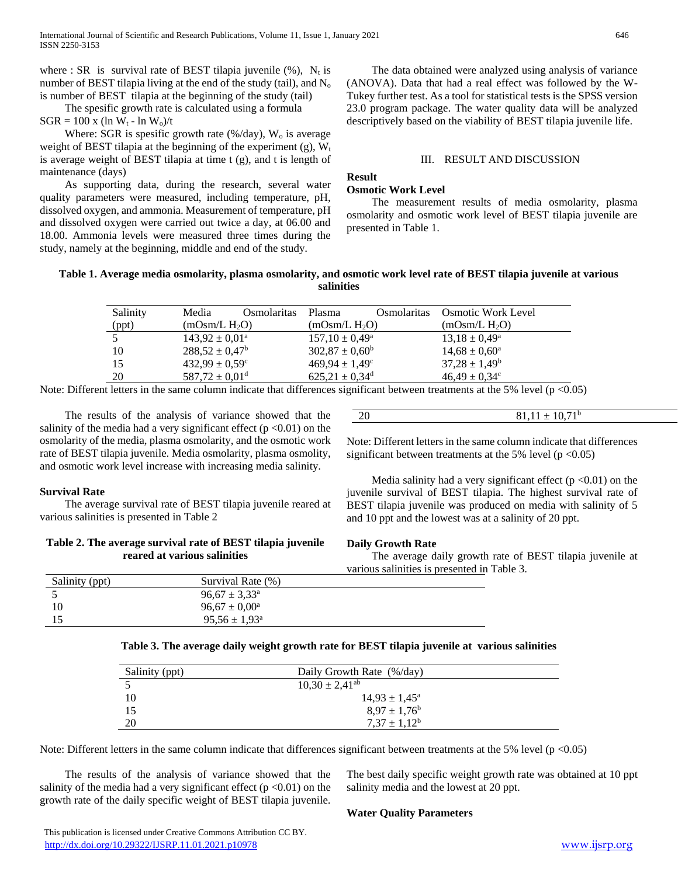where : SR is survival rate of BEST tilapia juvenile  $(\%)$ , N<sub>t</sub> is number of BEST tilapia living at the end of the study (tail), and  $N<sub>o</sub>$ is number of BEST tilapia at the beginning of the study (tail)

 The spesific growth rate is calculated using a formula  $SGR = 100 \text{ x } (\ln W_t - \ln W_o)/t$ 

Where: SGR is spesific growth rate (%/day),  $W_0$  is average weight of BEST tilapia at the beginning of the experiment  $(g)$ ,  $W_t$ is average weight of BEST tilapia at time t (g), and t is length of maintenance (days)

 As supporting data, during the research, several water quality parameters were measured, including temperature, pH, dissolved oxygen, and ammonia. Measurement of temperature, pH and dissolved oxygen were carried out twice a day, at 06.00 and 18.00. Ammonia levels were measured three times during the study, namely at the beginning, middle and end of the study.

 The data obtained were analyzed using analysis of variance (ANOVA). Data that had a real effect was followed by the W-Tukey further test. As a tool for statistical tests is the SPSS version 23.0 program package. The water quality data will be analyzed descriptively based on the viability of BEST tilapia juvenile life.

## III. RESULT AND DISCUSSION

## **Result**

## **Osmotic Work Level**

 The measurement results of media osmolarity, plasma osmolarity and osmotic work level of BEST tilapia juvenile are presented in Table 1.

## **Table 1. Average media osmolarity, plasma osmolarity, and osmotic work level rate of BEST tilapia juvenile at various salinities**

| Salinity | Media                          | Osmolaritas | Plasma                         | Osmolaritas | <b>Osmotic Work Level</b> |  |
|----------|--------------------------------|-------------|--------------------------------|-------------|---------------------------|--|
| (ppt)    | $(mOsm/L H_2O)$                |             | $(mOsm/L H_2O)$                |             | $(mOsm/L H_2O)$           |  |
|          | $143.92 \pm 0.01^{\circ}$      |             | $157.10 \pm 0.49^{\circ}$      |             | $13.18 \pm 0.49^{\circ}$  |  |
| 10       | $288,52 \pm 0.47^b$            |             | $302,87 \pm 0,60^{\rm b}$      |             | $14,68 \pm 0,60^{\circ}$  |  |
| 15       | $432.99 \pm 0.59$ <sup>c</sup> |             | $469.94 \pm 1.49^{\circ}$      |             | $37.28 \pm 1.49^b$        |  |
| 20       | $587,72 \pm 0.01$ <sup>d</sup> |             | $625,21 \pm 0,34$ <sup>d</sup> |             | $46,49 \pm 0,34^c$        |  |

Note: Different letters in the same column indicate that differences significant between treatments at the 5% level ( $p < 0.05$ )

 The results of the analysis of variance showed that the salinity of the media had a very significant effect ( $p < 0.01$ ) on the osmolarity of the media, plasma osmolarity, and the osmotic work rate of BEST tilapia juvenile. Media osmolarity, plasma osmolity, and osmotic work level increase with increasing media salinity.

#### **Survival Rate**

 The average survival rate of BEST tilapia juvenile reared at various salinities is presented in Table 2

## **Table 2. The average survival rate of BEST tilapia juvenile reared at various salinities**

Note: Different letters in the same column indicate that differences significant between treatments at the 5% level  $(p < 0.05)$ 

20  $81,11 \pm 10,71^b$ 

Media salinity had a very significant effect ( $p < 0.01$ ) on the juvenile survival of BEST tilapia. The highest survival rate of BEST tilapia juvenile was produced on media with salinity of 5 and 10 ppt and the lowest was at a salinity of 20 ppt.

#### **Daily Growth Rate**

 The average daily growth rate of BEST tilapia juvenile at various salinities is presented in Table 3.

| Salinity (ppt) | Survival Rate (%)             |
|----------------|-------------------------------|
|                | $96.67 \pm 3.33^{\circ}$      |
| 10             | $96.67 \pm 0.00^{\circ}$      |
|                | $95.56 \pm 1.93$ <sup>a</sup> |
|                |                               |

| Table 3. The average daily weight growth rate for BEST tilapia juvenile at  various salinities |  |  |  |  |
|------------------------------------------------------------------------------------------------|--|--|--|--|
|------------------------------------------------------------------------------------------------|--|--|--|--|

| Salinity (ppt) | Daily Growth Rate (%/day) |  |
|----------------|---------------------------|--|
|                | $10,30 \pm 2,41^{ab}$     |  |
| 10             | $14.93 \pm 1.45^{\circ}$  |  |
| 15             | $8.97 \pm 1.76^b$         |  |
| 20             | $7.37 \pm 1.12^b$         |  |

Note: Different letters in the same column indicate that differences significant between treatments at the 5% level ( $p < 0.05$ )

 The results of the analysis of variance showed that the salinity of the media had a very significant effect ( $p < 0.01$ ) on the growth rate of the daily specific weight of BEST tilapia juvenile.

The best daily specific weight growth rate was obtained at 10 ppt salinity media and the lowest at 20 ppt.

#### **Water Quality Parameters**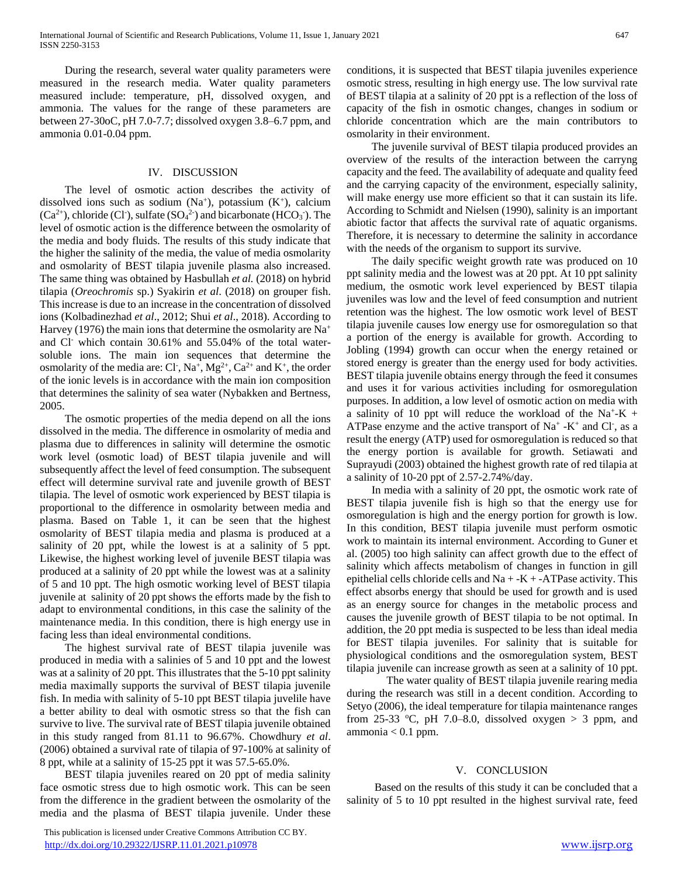During the research, several water quality parameters were measured in the research media. Water quality parameters measured include: temperature, pH, dissolved oxygen, and ammonia. The values for the range of these parameters are between 27-30oC, pH 7.0-7.7; dissolved oxygen 3.8–6.7 ppm, and ammonia 0.01-0.04 ppm.

## IV. DISCUSSION

 The level of osmotic action describes the activity of dissolved ions such as sodium  $(Na<sup>+</sup>)$ , potassium  $(K<sup>+</sup>)$ , calcium  $(Ca^{2+})$ , chloride (Cl<sup>-</sup>), sulfate (SO<sub>4</sub><sup>2</sup>) and bicarbonate (HCO<sub>3</sub><sup>-</sup>). The level of osmotic action is the difference between the osmolarity of the media and body fluids. The results of this study indicate that the higher the salinity of the media, the value of media osmolarity and osmolarity of BEST tilapia juvenile plasma also increased. The same thing was obtained by Hasbullah *et al.* (2018) on hybrid tilapia (*Oreochromis* sp.) Syakirin *et al*. (2018) on grouper fish. This increase is due to an increase in the concentration of dissolved ions (Kolbadinezhad *et al*., 2012; Shui *et al*., 2018). According to Harvey (1976) the main ions that determine the osmolarity are  $Na<sup>+</sup>$ and Cl- which contain 30.61% and 55.04% of the total watersoluble ions. The main ion sequences that determine the osmolarity of the media are: Cl<sup>-</sup>, Na<sup>+</sup>, Mg<sup>2+</sup>, Ca<sup>2+</sup> and K<sup>+</sup>, the order of the ionic levels is in accordance with the main ion composition that determines the salinity of sea water (Nybakken and Bertness, 2005.

 The osmotic properties of the media depend on all the ions dissolved in the media. The difference in osmolarity of media and plasma due to differences in salinity will determine the osmotic work level (osmotic load) of BEST tilapia juvenile and will subsequently affect the level of feed consumption. The subsequent effect will determine survival rate and juvenile growth of BEST tilapia. The level of osmotic work experienced by BEST tilapia is proportional to the difference in osmolarity between media and plasma. Based on Table 1, it can be seen that the highest osmolarity of BEST tilapia media and plasma is produced at a salinity of 20 ppt, while the lowest is at a salinity of 5 ppt. Likewise, the highest working level of juvenile BEST tilapia was produced at a salinity of 20 ppt while the lowest was at a salinity of 5 and 10 ppt. The high osmotic working level of BEST tilapia juvenile at salinity of 20 ppt shows the efforts made by the fish to adapt to environmental conditions, in this case the salinity of the maintenance media. In this condition, there is high energy use in facing less than ideal environmental conditions.

 The highest survival rate of BEST tilapia juvenile was produced in media with a salinies of 5 and 10 ppt and the lowest was at a salinity of 20 ppt. This illustrates that the 5-10 ppt salinity media maximally supports the survival of BEST tilapia juvenile fish. In media with salinity of 5-10 ppt BEST tilapia juvelile have a better ability to deal with osmotic stress so that the fish can survive to live. The survival rate of BEST tilapia juvenile obtained in this study ranged from 81.11 to 96.67%. Chowdhury *et al*. (2006) obtained a survival rate of tilapia of 97-100% at salinity of 8 ppt, while at a salinity of 15-25 ppt it was 57.5-65.0%.

 BEST tilapia juveniles reared on 20 ppt of media salinity face osmotic stress due to high osmotic work. This can be seen from the difference in the gradient between the osmolarity of the media and the plasma of BEST tilapia juvenile. Under these

 This publication is licensed under Creative Commons Attribution CC BY. <http://dx.doi.org/10.29322/IJSRP.11.01.2021.p10978> [www.ijsrp.org](http://ijsrp.org/)

conditions, it is suspected that BEST tilapia juveniles experience osmotic stress, resulting in high energy use. The low survival rate of BEST tilapia at a salinity of 20 ppt is a reflection of the loss of capacity of the fish in osmotic changes, changes in sodium or chloride concentration which are the main contributors to osmolarity in their environment.

 The juvenile survival of BEST tilapia produced provides an overview of the results of the interaction between the carryng capacity and the feed. The availability of adequate and quality feed and the carrying capacity of the environment, especially salinity, will make energy use more efficient so that it can sustain its life. According to Schmidt and Nielsen (1990), salinity is an important abiotic factor that affects the survival rate of aquatic organisms. Therefore, it is necessary to determine the salinity in accordance with the needs of the organism to support its survive.

 The daily specific weight growth rate was produced on 10 ppt salinity media and the lowest was at 20 ppt. At 10 ppt salinity medium, the osmotic work level experienced by BEST tilapia juveniles was low and the level of feed consumption and nutrient retention was the highest. The low osmotic work level of BEST tilapia juvenile causes low energy use for osmoregulation so that a portion of the energy is available for growth. According to Jobling (1994) growth can occur when the energy retained or stored energy is greater than the energy used for body activities. BEST tilapia juvenile obtains energy through the feed it consumes and uses it for various activities including for osmoregulation purposes. In addition, a low level of osmotic action on media with a salinity of 10 ppt will reduce the workload of the Na<sup>+</sup>-K + ATPase enzyme and the active transport of  $Na^+$  -K<sup>+</sup> and Cl<sup>-</sup>, as a result the energy (ATP) used for osmoregulation is reduced so that the energy portion is available for growth. Setiawati and Suprayudi (2003) obtained the highest growth rate of red tilapia at a salinity of 10-20 ppt of 2.57-2.74%/day.

 In media with a salinity of 20 ppt, the osmotic work rate of BEST tilapia juvenile fish is high so that the energy use for osmoregulation is high and the energy portion for growth is low. In this condition, BEST tilapia juvenile must perform osmotic work to maintain its internal environment. According to Guner et al. (2005) too high salinity can affect growth due to the effect of salinity which affects metabolism of changes in function in gill epithelial cells chloride cells and  $Na + K + -ATP$ ase activity. This effect absorbs energy that should be used for growth and is used as an energy source for changes in the metabolic process and causes the juvenile growth of BEST tilapia to be not optimal. In addition, the 20 ppt media is suspected to be less than ideal media for BEST tilapia juveniles. For salinity that is suitable for physiological conditions and the osmoregulation system, BEST tilapia juvenile can increase growth as seen at a salinity of 10 ppt.

The water quality of BEST tilapia juvenile rearing media during the research was still in a decent condition. According to Setyo (2006), the ideal temperature for tilapia maintenance ranges from 25-33 °C, pH 7.0–8.0, dissolved oxygen  $> 3$  ppm, and ammonia  $< 0.1$  ppm.

## V. CONCLUSION

 Based on the results of this study it can be concluded that a salinity of 5 to 10 ppt resulted in the highest survival rate, feed